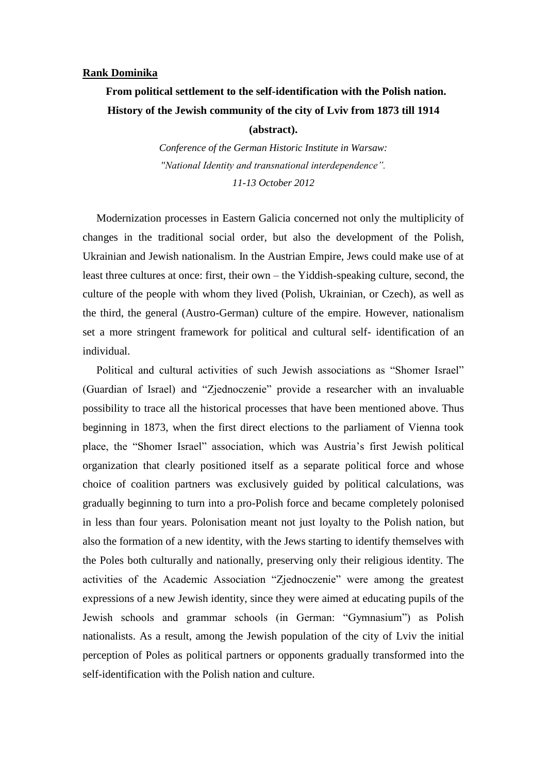## **Rank Dominika**

## **From political settlement to the self-identification with the Polish nation. History of the Jewish community of the city of Lviv from 1873 till 1914**

**(abstract).**

*Conference of the German Historic Institute in Warsaw: "National Identity and transnational interdependence". 11-13 October 2012*

 Modernization processes in Eastern Galicia concerned not only the multiplicity of changes in the traditional social order, but also the development of the Polish, Ukrainian and Jewish nationalism. In the Austrian Empire, Jews could make use of at least three cultures at once: first, their own – the Yiddish-speaking culture, second, the culture of the people with whom they lived (Polish, Ukrainian, or Czech), as well as the third, the general (Austro-German) culture of the empire. However, nationalism set a more stringent framework for political and cultural self- identification of an individual.

 Political and cultural activities of such Jewish associations as "Shomer Israel" (Guardian of Israel) and "Zjednoczenie" provide a researcher with an invaluable possibility to trace all the historical processes that have been mentioned above. Thus beginning in 1873, when the first direct elections to the parliament of Vienna took place, the "Shomer Israel" association, which was Austria's first Jewish political organization that clearly positioned itself as a separate political force and whose choice of coalition partners was exclusively guided by political calculations, was gradually beginning to turn into a pro-Polish force and became completely polonised in less than four years. Polonisation meant not just loyalty to the Polish nation, but also the formation of a new identity, with the Jews starting to identify themselves with the Poles both culturally and nationally, preserving only their religious identity. The activities of the Academic Association "Zjednoczenie" were among the greatest expressions of a new Jewish identity, since they were aimed at educating pupils of the Jewish schools and grammar schools (in German: "Gymnasium") as Polish nationalists. As a result, among the Jewish population of the city of Lviv the initial perception of Poles as political partners or opponents gradually transformed into the self-identification with the Polish nation and culture.